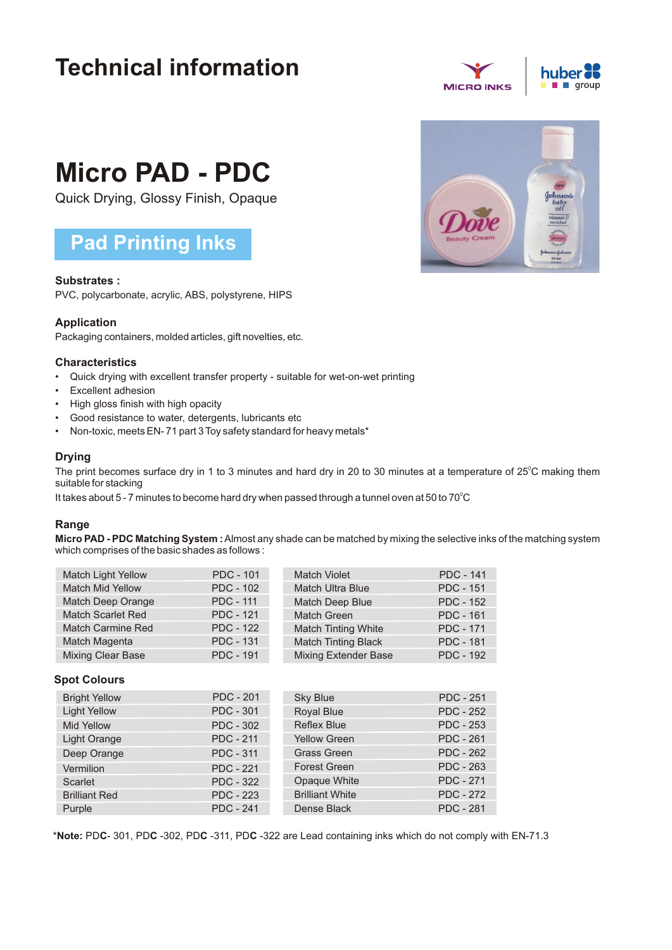## **Technical information**



# **Micro PAD - PDC**

Quick Drying, Glossy Finish, Opaque

### **Pad Printing Inks**

#### **Substrates :**

PVC, polycarbonate, acrylic, ABS, polystyrene, HIPS

#### **Application**

Packaging containers, molded articles, gift novelties, etc.

#### **Characteristics**

- Quick drying with excellent transfer property suitable for wet-on-wet printing
- Excellent adhesion
- High gloss finish with high opacity
- Good resistance to water, detergents, lubricants etc
- Non-toxic, meets EN- 71 part 3 Toy safety standard for heavy metals\*

#### **Drying**

The print becomes surface dry in 1 to 3 minutes and hard dry in 20 to 30 minutes at a temperature of 25°C making them suitable for stacking

It takes about 5 - 7 minutes to become hard dry when passed through a tunnel oven at 50 to 70 $^{\circ}$ C

#### **Range**

**Micro PAD - PDC Matching System :**Almost any shade can be matched by mixing the selective inks of the matching system which comprises of the basic shades as follows :

| <b>Match Light Yellow</b> | <b>PDC - 101</b> | <b>Match Violet</b>         | <b>PDC - 141</b> |
|---------------------------|------------------|-----------------------------|------------------|
| <b>Match Mid Yellow</b>   | <b>PDC - 102</b> | <b>Match Ultra Blue</b>     | <b>PDC - 151</b> |
| Match Deep Orange         | <b>PDC - 111</b> | Match Deep Blue             | <b>PDC - 152</b> |
| <b>Match Scarlet Red</b>  | <b>PDC - 121</b> | <b>Match Green</b>          | <b>PDC - 161</b> |
| <b>Match Carmine Red</b>  | <b>PDC - 122</b> | <b>Match Tinting White</b>  | <b>PDC - 171</b> |
| Match Magenta             | <b>PDC - 131</b> | <b>Match Tinting Black</b>  | <b>PDC - 181</b> |
| Mixing Clear Base         | <b>PDC - 191</b> | <b>Mixing Extender Base</b> | <b>PDC - 192</b> |

#### **Spot Colours**

| <b>Bright Yellow</b> | <b>PDC - 201</b> | <b>Sky Blue</b>        | <b>PDC - 251</b> |
|----------------------|------------------|------------------------|------------------|
| <b>Light Yellow</b>  | <b>PDC - 301</b> | <b>Royal Blue</b>      | <b>PDC - 252</b> |
| <b>Mid Yellow</b>    | <b>PDC - 302</b> | <b>Reflex Blue</b>     | <b>PDC - 253</b> |
| Light Orange         | <b>PDC - 211</b> | <b>Yellow Green</b>    | <b>PDC - 261</b> |
| Deep Orange          | <b>PDC - 311</b> | <b>Grass Green</b>     | <b>PDC - 262</b> |
| Vermilion            | <b>PDC - 221</b> | <b>Forest Green</b>    | <b>PDC - 263</b> |
| Scarlet              | <b>PDC - 322</b> | Opaque White           | <b>PDC - 271</b> |
| <b>Brilliant Red</b> | <b>PDC - 223</b> | <b>Brilliant White</b> | <b>PDC - 272</b> |
| Purple               | <b>PDC - 241</b> | Dense Black            | <b>PDC - 281</b> |

\***Note:** PD**C**- 301, PD**C** -302, PD**C** -311, PD**C** -322 are Lead containing inks which do not comply with EN-71.3